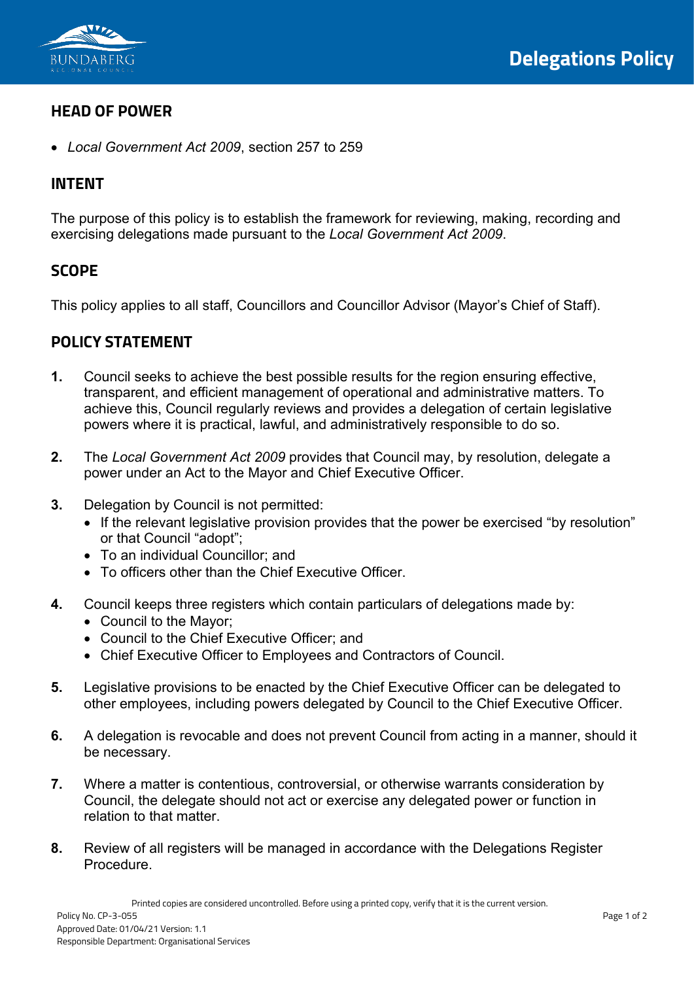

### **HEAD OF POWER**

• *Local Government Act 2009*, section 257 to 259

#### **INTENT**

The purpose of this policy is to establish the framework for reviewing, making, recording and exercising delegations made pursuant to the *Local Government Act 2009*.

#### **SCOPE**

This policy applies to all staff, Councillors and Councillor Advisor (Mayor's Chief of Staff).

### **POLICY STATEMENT**

- **1.** Council seeks to achieve the best possible results for the region ensuring effective, transparent, and efficient management of operational and administrative matters. To achieve this, Council regularly reviews and provides a delegation of certain legislative powers where it is practical, lawful, and administratively responsible to do so.
- **2.** The *Local Government Act 2009* provides that Council may, by resolution, delegate a power under an Act to the Mayor and Chief Executive Officer.
- **3.** Delegation by Council is not permitted:
	- If the relevant legislative provision provides that the power be exercised "by resolution" or that Council "adopt";
	- To an individual Councillor; and
	- To officers other than the Chief Executive Officer.
- **4.** Council keeps three registers which contain particulars of delegations made by:
	- Council to the Mayor;
	- Council to the Chief Executive Officer; and
	- Chief Executive Officer to Employees and Contractors of Council.
- **5.** Legislative provisions to be enacted by the Chief Executive Officer can be delegated to other employees, including powers delegated by Council to the Chief Executive Officer.
- **6.** A delegation is revocable and does not prevent Council from acting in a manner, should it be necessary.
- **7.** Where a matter is contentious, controversial, or otherwise warrants consideration by Council, the delegate should not act or exercise any delegated power or function in relation to that matter.
- **8.** Review of all registers will be managed in accordance with the Delegations Register Procedure.